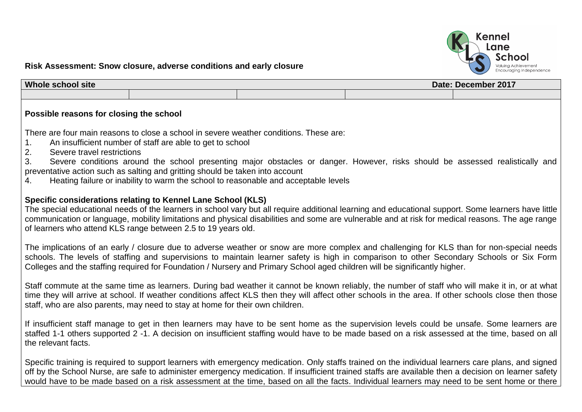

## **Risk Assessment: Snow closure, adverse conditions and early closure**

| <b>Whole</b><br><b>s</b> ite<br>, school : |  | December 2017<br>Date: |  |  |
|--------------------------------------------|--|------------------------|--|--|
|                                            |  |                        |  |  |

## **Possible reasons for closing the school**

There are four main reasons to close a school in severe weather conditions. These are:

- 1. An insufficient number of staff are able to get to school
- 2. Severe travel restrictions

3. Severe conditions around the school presenting major obstacles or danger. However, risks should be assessed realistically and preventative action such as salting and gritting should be taken into account

4. Heating failure or inability to warm the school to reasonable and acceptable levels

## **Specific considerations relating to Kennel Lane School (KLS)**

The special educational needs of the learners in school vary but all require additional learning and educational support. Some learners have little communication or language, mobility limitations and physical disabilities and some are vulnerable and at risk for medical reasons. The age range of learners who attend KLS range between 2.5 to 19 years old.

The implications of an early / closure due to adverse weather or snow are more complex and challenging for KLS than for non-special needs schools. The levels of staffing and supervisions to maintain learner safety is high in comparison to other Secondary Schools or Six Form Colleges and the staffing required for Foundation / Nursery and Primary School aged children will be significantly higher.

Staff commute at the same time as learners. During bad weather it cannot be known reliably, the number of staff who will make it in, or at what time they will arrive at school. If weather conditions affect KLS then they will affect other schools in the area. If other schools close then those staff, who are also parents, may need to stay at home for their own children.

If insufficient staff manage to get in then learners may have to be sent home as the supervision levels could be unsafe. Some learners are staffed 1-1 others supported 2 -1. A decision on insufficient staffing would have to be made based on a risk assessed at the time, based on all the relevant facts.

Specific training is required to support learners with emergency medication. Only staffs trained on the individual learners care plans, and signed off by the School Nurse, are safe to administer emergency medication. If insufficient trained staffs are available then a decision on learner safety would have to be made based on a risk assessment at the time, based on all the facts. Individual learners may need to be sent home or there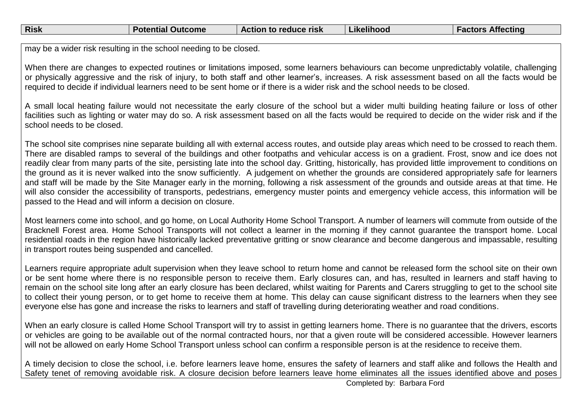| <b>Risk</b> | <b>Potential Outcome</b> | Action to reduce risk | Likelihood | Affecting<br>Factors. |
|-------------|--------------------------|-----------------------|------------|-----------------------|
|             |                          |                       |            |                       |

may be a wider risk resulting in the school needing to be closed.

When there are changes to expected routines or limitations imposed, some learners behaviours can become unpredictably volatile, challenging or physically aggressive and the risk of injury, to both staff and other learner's, increases. A risk assessment based on all the facts would be required to decide if individual learners need to be sent home or if there is a wider risk and the school needs to be closed.

A small local heating failure would not necessitate the early closure of the school but a wider multi building heating failure or loss of other facilities such as lighting or water may do so. A risk assessment based on all the facts would be required to decide on the wider risk and if the school needs to be closed.

The school site comprises nine separate building all with external access routes, and outside play areas which need to be crossed to reach them. There are disabled ramps to several of the buildings and other footpaths and vehicular access is on a gradient. Frost, snow and ice does not readily clear from many parts of the site, persisting late into the school day. Gritting, historically, has provided little improvement to conditions on the ground as it is never walked into the snow sufficiently. A judgement on whether the grounds are considered appropriately safe for learners and staff will be made by the Site Manager early in the morning, following a risk assessment of the grounds and outside areas at that time. He will also consider the accessibility of transports, pedestrians, emergency muster points and emergency vehicle access, this information will be passed to the Head and will inform a decision on closure.

Most learners come into school, and go home, on Local Authority Home School Transport. A number of learners will commute from outside of the Bracknell Forest area. Home School Transports will not collect a learner in the morning if they cannot guarantee the transport home. Local residential roads in the region have historically lacked preventative gritting or snow clearance and become dangerous and impassable, resulting in transport routes being suspended and cancelled.

Learners require appropriate adult supervision when they leave school to return home and cannot be released form the school site on their own or be sent home where there is no responsible person to receive them. Early closures can, and has, resulted in learners and staff having to remain on the school site long after an early closure has been declared, whilst waiting for Parents and Carers struggling to get to the school site to collect their young person, or to get home to receive them at home. This delay can cause significant distress to the learners when they see everyone else has gone and increase the risks to learners and staff of travelling during deteriorating weather and road conditions.

When an early closure is called Home School Transport will try to assist in getting learners home. There is no guarantee that the drivers, escorts or vehicles are going to be available out of the normal contracted hours, nor that a given route will be considered accessible. However learners will not be allowed on early Home School Transport unless school can confirm a responsible person is at the residence to receive them.

A timely decision to close the school, i.e. before learners leave home, ensures the safety of learners and staff alike and follows the Health and Safety tenet of removing avoidable risk. A closure decision before learners leave home eliminates all the issues identified above and poses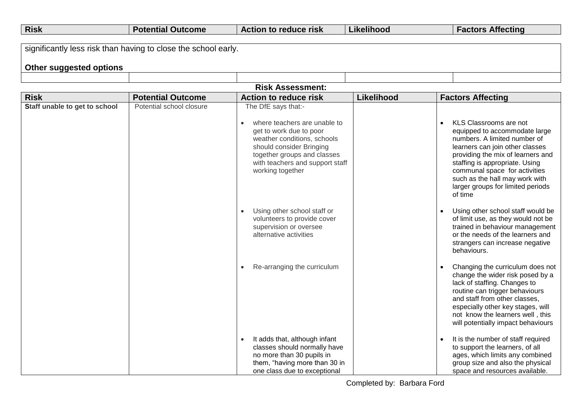| <b>Risk</b> | ∖ Outcome<br>Potential | Action to reduce risk | .<br>.<br>Likelihood | <b>Factors Affecting</b> |
|-------------|------------------------|-----------------------|----------------------|--------------------------|
|             |                        |                       |                      |                          |

| significantly less risk than having to close the school early. |  |  |  |  |  |  |
|----------------------------------------------------------------|--|--|--|--|--|--|
| <b>Other suggested options</b>                                 |  |  |  |  |  |  |
|                                                                |  |  |  |  |  |  |

## **Risk Assessment:**

| <b>Risk</b>                   | <b>Potential Outcome</b> | <b>Action to reduce risk</b>                                                                                                                                                                                                    | Likelihood | <b>Factors Affecting</b>                                                                                                                                                                                                                                                                                             |
|-------------------------------|--------------------------|---------------------------------------------------------------------------------------------------------------------------------------------------------------------------------------------------------------------------------|------------|----------------------------------------------------------------------------------------------------------------------------------------------------------------------------------------------------------------------------------------------------------------------------------------------------------------------|
| Staff unable to get to school | Potential school closure | The DfE says that:-<br>where teachers are unable to<br>get to work due to poor<br>weather conditions, schools<br>should consider Bringing<br>together groups and classes<br>with teachers and support staff<br>working together |            | KLS Classrooms are not<br>equipped to accommodate large<br>numbers. A limited number of<br>learners can join other classes<br>providing the mix of learners and<br>staffing is appropriate. Using<br>communal space for activities<br>such as the hall may work with<br>larger groups for limited periods<br>of time |
|                               |                          | Using other school staff or<br>$\bullet$<br>volunteers to provide cover<br>supervision or oversee<br>alternative activities                                                                                                     |            | Using other school staff would be<br>of limit use, as they would not be<br>trained in behaviour management<br>or the needs of the learners and<br>strangers can increase negative<br>behaviours.                                                                                                                     |
|                               |                          | Re-arranging the curriculum<br>$\bullet$                                                                                                                                                                                        |            | Changing the curriculum does not<br>change the wider risk posed by a<br>lack of staffing. Changes to<br>routine can trigger behaviours<br>and staff from other classes,<br>especially other key stages, will<br>not know the learners well, this<br>will potentially impact behaviours                               |
|                               |                          | It adds that, although infant<br>$\bullet$<br>classes should normally have<br>no more than 30 pupils in<br>them, "having more than 30 in<br>one class due to exceptional                                                        |            | It is the number of staff required<br>to support the learners, of all<br>ages, which limits any combined<br>group size and also the physical<br>space and resources available.                                                                                                                                       |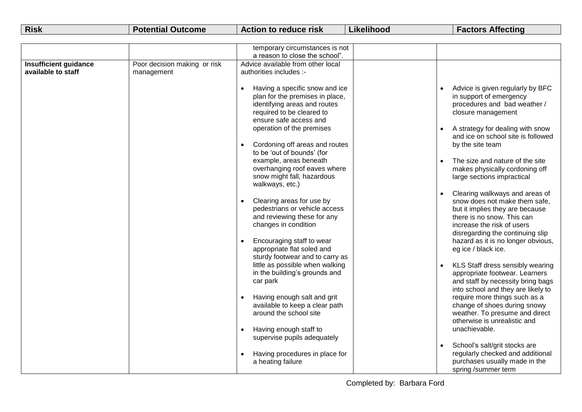| <b>Risk</b><br>.<br><b>actors Affecting</b><br>Action to reduce risk<br><b>Potential Outcome</b><br>Likelihood |  |
|----------------------------------------------------------------------------------------------------------------|--|
|----------------------------------------------------------------------------------------------------------------|--|

|                                                    |                                            | temporary circumstances is not<br>a reason to close the school".                                                                                                                                                                                                                                                                                                              |                                                                                                                                                                                                                                                                                                                    |
|----------------------------------------------------|--------------------------------------------|-------------------------------------------------------------------------------------------------------------------------------------------------------------------------------------------------------------------------------------------------------------------------------------------------------------------------------------------------------------------------------|--------------------------------------------------------------------------------------------------------------------------------------------------------------------------------------------------------------------------------------------------------------------------------------------------------------------|
| <b>Insufficient guidance</b><br>available to staff | Poor decision making or risk<br>management | Advice available from other local<br>authorities includes :-                                                                                                                                                                                                                                                                                                                  |                                                                                                                                                                                                                                                                                                                    |
|                                                    |                                            | Having a specific snow and ice<br>$\bullet$<br>plan for the premises in place,<br>identifying areas and routes<br>required to be cleared to<br>ensure safe access and<br>operation of the premises<br>Cordoning off areas and routes<br>to be 'out of bounds' (for<br>example, areas beneath<br>overhanging roof eaves where<br>snow might fall, hazardous<br>walkways, etc.) | Advice is given regularly by BFC<br>in support of emergency<br>procedures and bad weather /<br>closure management<br>A strategy for dealing with snow<br>and ice on school site is followed<br>by the site team<br>The size and nature of the site<br>makes physically cordoning off<br>large sections impractical |
|                                                    |                                            | Clearing areas for use by<br>pedestrians or vehicle access<br>and reviewing these for any<br>changes in condition<br>Encouraging staff to wear<br>appropriate flat soled and<br>sturdy footwear and to carry as                                                                                                                                                               | Clearing walkways and areas of<br>snow does not make them safe,<br>but it implies they are because<br>there is no snow. This can<br>increase the risk of users<br>disregarding the continuing slip<br>hazard as it is no longer obvious,<br>eg ice / black ice.                                                    |
|                                                    |                                            | little as possible when walking<br>in the building's grounds and<br>car park                                                                                                                                                                                                                                                                                                  | KLS Staff dress sensibly wearing<br>appropriate footwear. Learners<br>and staff by necessity bring bags<br>into school and they are likely to                                                                                                                                                                      |
|                                                    |                                            | Having enough salt and grit<br>available to keep a clear path<br>around the school site                                                                                                                                                                                                                                                                                       | require more things such as a<br>change of shoes during snowy<br>weather. To presume and direct<br>otherwise is unrealistic and                                                                                                                                                                                    |
|                                                    |                                            | Having enough staff to<br>$\bullet$<br>supervise pupils adequately                                                                                                                                                                                                                                                                                                            | unachievable.                                                                                                                                                                                                                                                                                                      |
|                                                    |                                            | Having procedures in place for<br>a heating failure                                                                                                                                                                                                                                                                                                                           | School's salt/grit stocks are<br>regularly checked and additional<br>purchases usually made in the<br>spring /summer term                                                                                                                                                                                          |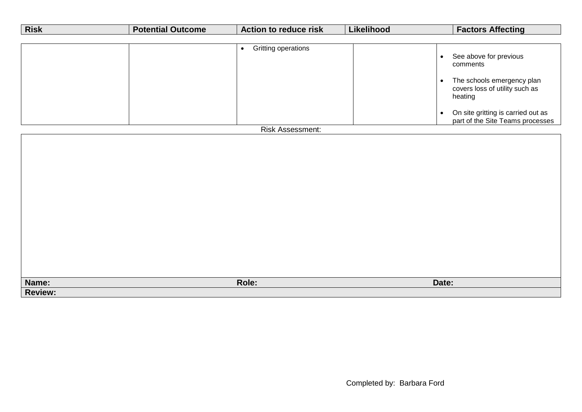| <b>Risk</b>    | <b>Potential Outcome</b> | <b>Action to reduce risk</b>     | Likelihood                          | <b>Factors Affecting</b>                                                                                                                                                                |
|----------------|--------------------------|----------------------------------|-------------------------------------|-----------------------------------------------------------------------------------------------------------------------------------------------------------------------------------------|
|                |                          |                                  |                                     |                                                                                                                                                                                         |
|                |                          | Gritting operations<br>$\bullet$ | $\bullet$<br>$\bullet$<br>$\bullet$ | See above for previous<br>comments<br>The schools emergency plan<br>covers loss of utility such as<br>heating<br>On site gritting is carried out as<br>part of the Site Teams processes |
|                |                          | Risk Assessment:                 |                                     |                                                                                                                                                                                         |
|                |                          |                                  |                                     |                                                                                                                                                                                         |
| Name:          |                          | Role:                            | Date:                               |                                                                                                                                                                                         |
| <b>Review:</b> |                          |                                  |                                     |                                                                                                                                                                                         |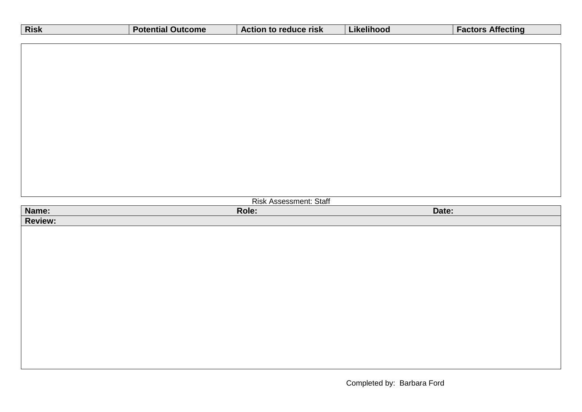| Risk           | <b>Potential Outcome</b> | Action to reduce risk  | Likelihood | <b>Factors Affecting</b> |
|----------------|--------------------------|------------------------|------------|--------------------------|
|                |                          |                        |            |                          |
|                |                          |                        |            |                          |
|                |                          |                        |            |                          |
|                |                          |                        |            |                          |
|                |                          |                        |            |                          |
|                |                          |                        |            |                          |
|                |                          |                        |            |                          |
|                |                          |                        |            |                          |
|                |                          |                        |            |                          |
|                |                          |                        |            |                          |
|                |                          |                        |            |                          |
|                |                          |                        |            |                          |
|                |                          | Risk Assessment: Staff |            |                          |
| Name:          |                          | Role:                  | Date:      |                          |
| <b>Review:</b> |                          |                        |            |                          |
|                |                          |                        |            |                          |
|                |                          |                        |            |                          |
|                |                          |                        |            |                          |
|                |                          |                        |            |                          |
|                |                          |                        |            |                          |
|                |                          |                        |            |                          |
|                |                          |                        |            |                          |
|                |                          |                        |            |                          |
|                |                          |                        |            |                          |
|                |                          |                        |            |                          |